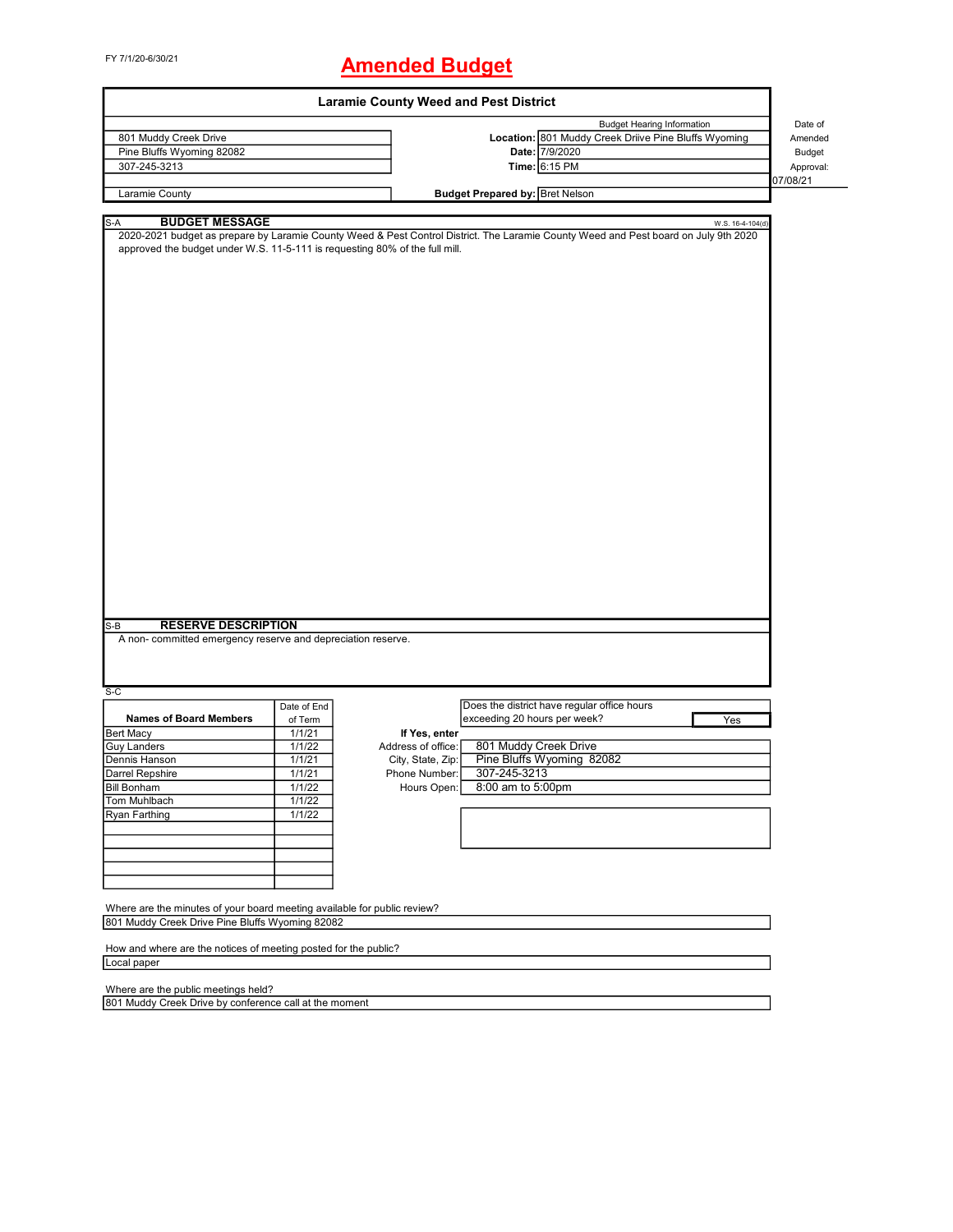# FY 7/1/20-6/30/21 **Amended Budget**

| <b>Laramie County Weed and Pest District</b>                                                                |                    |                    |                                        |                                                                                                                                                         |               |
|-------------------------------------------------------------------------------------------------------------|--------------------|--------------------|----------------------------------------|---------------------------------------------------------------------------------------------------------------------------------------------------------|---------------|
|                                                                                                             |                    |                    |                                        | <b>Budget Hearing Information</b>                                                                                                                       | Date of       |
| 801 Muddy Creek Drive                                                                                       |                    |                    |                                        | Location: 801 Muddy Creek Driive Pine Bluffs Wyoming                                                                                                    | Amended       |
| Pine Bluffs Wyoming 82082                                                                                   |                    |                    |                                        | Date: 7/9/2020                                                                                                                                          | <b>Budget</b> |
| 307-245-3213                                                                                                |                    |                    |                                        | Time: 6:15 PM                                                                                                                                           | Approval:     |
|                                                                                                             |                    |                    |                                        |                                                                                                                                                         | 07/08/21      |
| Laramie County                                                                                              |                    |                    | <b>Budget Prepared by: Bret Nelson</b> |                                                                                                                                                         |               |
|                                                                                                             |                    |                    |                                        |                                                                                                                                                         |               |
| <b>BUDGET MESSAGE</b><br>S-A<br>approved the budget under W.S. 11-5-111 is requesting 80% of the full mill. |                    |                    |                                        | W.S. 16-4-104(d)<br>2020-2021 budget as prepare by Laramie County Weed & Pest Control District. The Laramie County Weed and Pest board on July 9th 2020 |               |
|                                                                                                             |                    |                    |                                        |                                                                                                                                                         |               |
|                                                                                                             |                    |                    |                                        |                                                                                                                                                         |               |
|                                                                                                             |                    |                    |                                        |                                                                                                                                                         |               |
|                                                                                                             |                    |                    |                                        |                                                                                                                                                         |               |
|                                                                                                             |                    |                    |                                        |                                                                                                                                                         |               |
|                                                                                                             |                    |                    |                                        |                                                                                                                                                         |               |
|                                                                                                             |                    |                    |                                        |                                                                                                                                                         |               |
|                                                                                                             |                    |                    |                                        |                                                                                                                                                         |               |
|                                                                                                             |                    |                    |                                        |                                                                                                                                                         |               |
|                                                                                                             |                    |                    |                                        |                                                                                                                                                         |               |
|                                                                                                             |                    |                    |                                        |                                                                                                                                                         |               |
|                                                                                                             |                    |                    |                                        |                                                                                                                                                         |               |
|                                                                                                             |                    |                    |                                        |                                                                                                                                                         |               |
|                                                                                                             |                    |                    |                                        |                                                                                                                                                         |               |
|                                                                                                             |                    |                    |                                        |                                                                                                                                                         |               |
|                                                                                                             |                    |                    |                                        |                                                                                                                                                         |               |
|                                                                                                             |                    |                    |                                        |                                                                                                                                                         |               |
|                                                                                                             |                    |                    |                                        |                                                                                                                                                         |               |
|                                                                                                             |                    |                    |                                        |                                                                                                                                                         |               |
|                                                                                                             |                    |                    |                                        |                                                                                                                                                         |               |
|                                                                                                             |                    |                    |                                        |                                                                                                                                                         |               |
|                                                                                                             |                    |                    |                                        |                                                                                                                                                         |               |
|                                                                                                             |                    |                    |                                        |                                                                                                                                                         |               |
|                                                                                                             |                    |                    |                                        |                                                                                                                                                         |               |
| <b>RESERVE DESCRIPTION</b><br>$S-B$                                                                         |                    |                    |                                        |                                                                                                                                                         |               |
| A non- committed emergency reserve and depreciation reserve.                                                |                    |                    |                                        |                                                                                                                                                         |               |
|                                                                                                             |                    |                    |                                        |                                                                                                                                                         |               |
|                                                                                                             |                    |                    |                                        |                                                                                                                                                         |               |
| S-C                                                                                                         |                    |                    |                                        |                                                                                                                                                         |               |
|                                                                                                             | Date of End        |                    |                                        | Does the district have regular office hours                                                                                                             |               |
| <b>Names of Board Members</b>                                                                               | of Term            |                    | exceeding 20 hours per week?           | Yes                                                                                                                                                     |               |
| <b>Bert Macy</b>                                                                                            | 1/1/21             | If Yes, enter      |                                        |                                                                                                                                                         |               |
| <b>Guy Landers</b>                                                                                          | 1/1/22             | Address of office: |                                        | 801 Muddy Creek Drive                                                                                                                                   |               |
| Dennis Hanson                                                                                               | 1/1/21             | City, State, Zip:  |                                        | Pine Bluffs Wyoming 82082                                                                                                                               |               |
| Darrel Repshire                                                                                             | $\frac{1}{1}$ 1/21 | Phone Number:      | 307-245-3213                           |                                                                                                                                                         |               |
| <b>Bill Bonham</b>                                                                                          | 1/1/22             | Hours Open:        | 8:00 am to 5:00pm                      |                                                                                                                                                         |               |
| Tom Muhlbach                                                                                                | 1/1/22             |                    |                                        |                                                                                                                                                         |               |
| Ryan Farthing                                                                                               | 1/1/22             |                    |                                        |                                                                                                                                                         |               |
|                                                                                                             |                    |                    |                                        |                                                                                                                                                         |               |
|                                                                                                             |                    |                    |                                        |                                                                                                                                                         |               |
|                                                                                                             |                    |                    |                                        |                                                                                                                                                         |               |
|                                                                                                             |                    |                    |                                        |                                                                                                                                                         |               |
|                                                                                                             |                    |                    |                                        |                                                                                                                                                         |               |
| Where are the minutes of your board meeting available for public review?                                    |                    |                    |                                        |                                                                                                                                                         |               |
| 801 Muddy Creek Drive Pine Bluffs Wyoming 82082                                                             |                    |                    |                                        |                                                                                                                                                         |               |
|                                                                                                             |                    |                    |                                        |                                                                                                                                                         |               |
| How and where are the notices of meeting posted for the public?                                             |                    |                    |                                        |                                                                                                                                                         |               |
| Local paper                                                                                                 |                    |                    |                                        |                                                                                                                                                         |               |
|                                                                                                             |                    |                    |                                        |                                                                                                                                                         |               |
| Where are the public meetings held?                                                                         |                    |                    |                                        |                                                                                                                                                         |               |
| 801 Muddy Creek Drive by conference call at the moment                                                      |                    |                    |                                        |                                                                                                                                                         |               |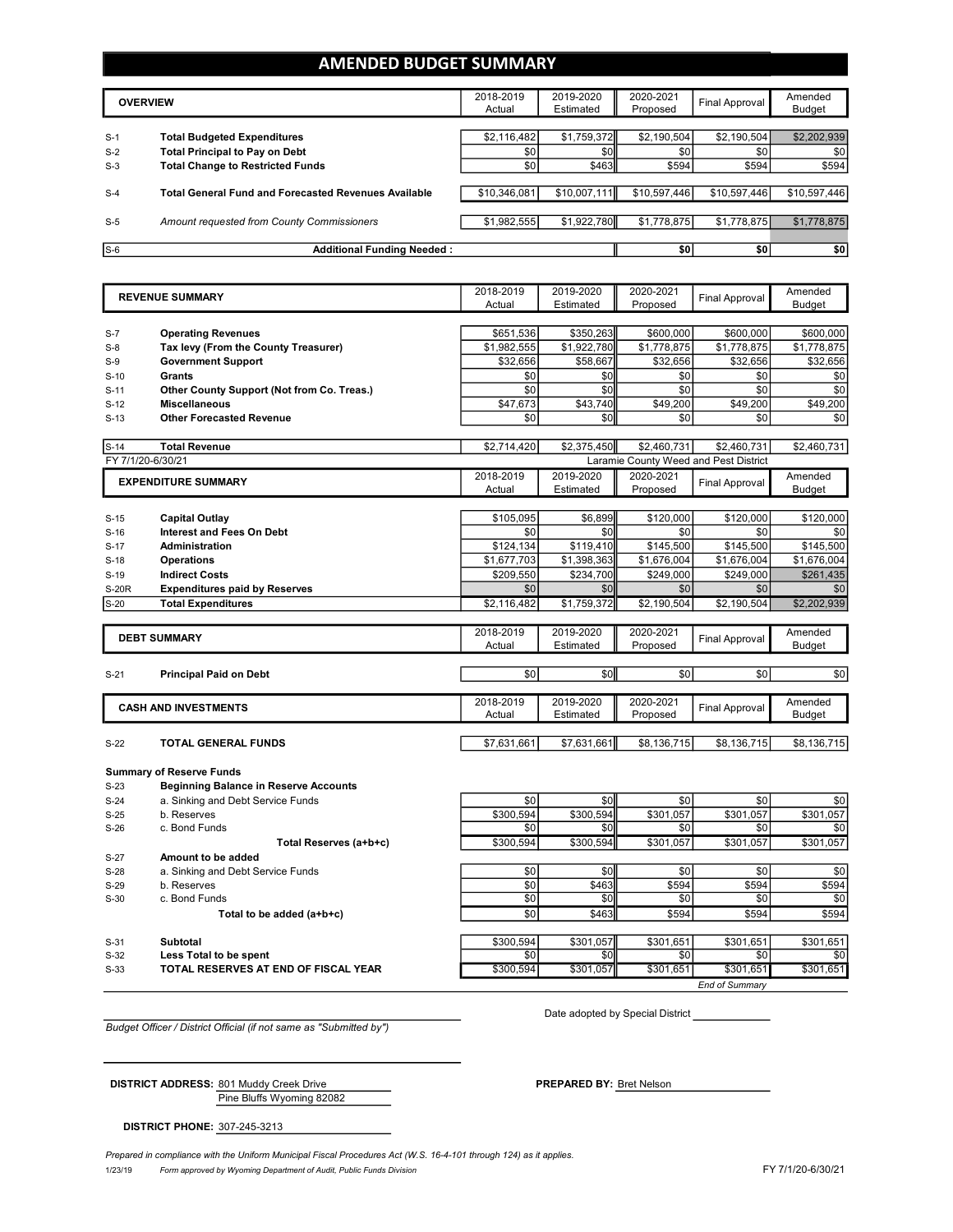### **AMENDED BUDGET SUMMARY**

|       | <b>OVERVIEW</b>                                             | 2018-2019<br>Actual | 2019-2020<br>Estimated | 2020-2021<br>Proposed | Final Approval | Amended<br><b>Budget</b> |
|-------|-------------------------------------------------------------|---------------------|------------------------|-----------------------|----------------|--------------------------|
| $S-1$ | <b>Total Budgeted Expenditures</b>                          | \$2,116,482         | \$1,759,372            | \$2,190,504           | \$2,190,504    | \$2,202,939              |
| $S-2$ | <b>Total Principal to Pay on Debt</b>                       | \$0                 | \$0                    | \$0                   | \$0            | \$0                      |
| $S-3$ | <b>Total Change to Restricted Funds</b>                     | \$0                 | \$463                  | \$594                 | \$594          | \$594                    |
|       |                                                             |                     |                        |                       |                |                          |
| $S-4$ | <b>Total General Fund and Forecasted Revenues Available</b> | \$10.346.081        | \$10,007.111           | \$10,597,446          | \$10.597.446   | \$10,597,446             |
|       |                                                             |                     |                        |                       |                |                          |
| $S-5$ | Amount requested from County Commissioners                  | \$1.982.555         | \$1,922,780            | \$1,778,875           | \$1,778,875    | \$1,778,875              |
|       |                                                             |                     |                        |                       |                |                          |
| $S-6$ | <b>Additional Funding Needed:</b>                           |                     |                        | \$0                   | \$0            | \$0                      |

|                   | <b>REVENUE SUMMARY</b>                           | 2018-2019<br>Actual | 2019-2020<br>Estimated | 2020-2021<br>Proposed                 | <b>Final Approval</b> | Amended       |
|-------------------|--------------------------------------------------|---------------------|------------------------|---------------------------------------|-----------------------|---------------|
|                   |                                                  |                     |                        |                                       |                       | <b>Budget</b> |
| $S-7$             | <b>Operating Revenues</b>                        | \$651,536           | \$350,263              | \$600,000                             | \$600,000             | \$600,000     |
| $S-8$             | Tax levy (From the County Treasurer)             | \$1,982,555         | \$1,922,780            | \$1,778,875                           | \$1,778,875           |               |
|                   |                                                  |                     | \$58,667               |                                       |                       | \$1,778,875   |
| $S-9$             | <b>Government Support</b>                        | \$32,656            |                        | \$32,656                              | \$32,656              | \$32,656      |
| $S-10$            | Grants                                           | \$0                 | \$0                    | \$0                                   | \$0                   | \$0           |
| $S-11$            | Other County Support (Not from Co. Treas.)       | \$0                 | \$0                    | \$0                                   | \$0                   | \$0           |
| $S-12$            | <b>Miscellaneous</b>                             | \$47,673            | \$43,740               | \$49,200                              | \$49,200              | \$49,200      |
| $S-13$            | <b>Other Forecasted Revenue</b>                  | \$0                 | \$0                    | \$0                                   | \$0                   | \$0           |
| $S-14$            | <b>Total Revenue</b>                             | \$2,714,420         | \$2,375,450            | \$2,460,731                           | \$2.460.731           | \$2,460,731   |
| FY 7/1/20-6/30/21 |                                                  |                     |                        | Laramie County Weed and Pest District |                       |               |
|                   | <b>EXPENDITURE SUMMARY</b>                       | 2018-2019           | 2019-2020              | 2020-2021                             |                       | Amended       |
|                   |                                                  | Actual              | Estimated              | Proposed                              | <b>Final Approval</b> | <b>Budget</b> |
|                   |                                                  |                     |                        |                                       |                       |               |
| $S-15$            | <b>Capital Outlay</b>                            | \$105,095           | \$6,899                | \$120,000                             | \$120,000             | \$120,000     |
| $S-16$            | <b>Interest and Fees On Debt</b>                 | \$0                 | \$0                    | \$0                                   | \$0                   | \$0           |
| $S-17$            | <b>Administration</b>                            | \$124,134           | \$119,410              | \$145,500                             | \$145,500             | \$145,500     |
| $S-18$            | <b>Operations</b>                                | \$1,677,703         | \$1,398,363            | \$1,676,004                           | \$1,676,004           | \$1,676,004   |
| $S-19$            | <b>Indirect Costs</b>                            | \$209,550           | \$234,700              | \$249,000                             | \$249,000             | \$261,435     |
| <b>S-20R</b>      | <b>Expenditures paid by Reserves</b>             | \$0                 | \$0                    | \$0                                   | \$0                   | \$0           |
| $S-20$            | <b>Total Expenditures</b>                        | \$2,116,482         | \$1,759,372            | \$2,190,504                           | \$2,190,504           | \$2,202,939   |
|                   |                                                  |                     |                        |                                       |                       |               |
|                   | <b>DEBT SUMMARY</b>                              | 2018-2019           | 2019-2020              | 2020-2021                             | <b>Final Approval</b> | Amended       |
|                   |                                                  | Actual              | Estimated              | Proposed                              |                       | <b>Budget</b> |
|                   |                                                  |                     |                        |                                       |                       |               |
| $S-21$            | <b>Principal Paid on Debt</b>                    | \$0                 | \$0                    | \$0                                   | \$0                   | \$0           |
|                   | <b>CASH AND INVESTMENTS</b>                      | 2018-2019           | 2019-2020              | 2020-2021                             | <b>Final Approval</b> | Amended       |
|                   |                                                  | Actual              | Estimated              | Proposed                              |                       | <b>Budget</b> |
| $S-22$            | <b>TOTAL GENERAL FUNDS</b>                       | \$7,631,661         | \$7,631,661            | \$8,136,715                           | \$8,136,715           | \$8,136,715   |
|                   |                                                  |                     |                        |                                       |                       |               |
|                   | <b>Summary of Reserve Funds</b>                  |                     |                        |                                       |                       |               |
| $S-23$            | <b>Beginning Balance in Reserve Accounts</b>     |                     |                        |                                       |                       |               |
| $S-24$            | a. Sinking and Debt Service Funds                | \$0                 | \$0                    | \$0                                   | \$0                   | \$0           |
| $S-25$            |                                                  |                     |                        |                                       |                       | \$301,057     |
|                   |                                                  |                     |                        |                                       |                       |               |
| $S-26$            | b. Reserves<br>c. Bond Funds                     | \$300,594<br>\$0    | \$300,594<br>\$0       | \$301,057<br>\$0                      | \$301,057<br>\$0      | \$0           |
|                   |                                                  | \$300,594           | \$300,594              | \$301,057                             | \$301,057             | \$301,057     |
|                   | Total Reserves (a+b+c)<br>Amount to be added     |                     |                        |                                       |                       |               |
| $S-27$            |                                                  |                     |                        |                                       |                       |               |
| $S-28$<br>$S-29$  | a. Sinking and Debt Service Funds<br>b. Reserves | \$0<br>\$0          | \$0<br>\$463           | \$0<br>\$594                          | \$0<br>\$594          | \$0<br>\$594  |
|                   | c. Bond Funds                                    |                     |                        | \$0                                   |                       |               |
| $S-30$            |                                                  | \$0                 | \$0                    |                                       | \$0                   | \$0           |
|                   | Total to be added (a+b+c)                        | \$0                 | \$463                  | \$594                                 | \$594                 | \$594         |
| $S-31$            | Subtotal                                         | \$300,594           | \$301,057              | \$301,651                             | \$301,651             | \$301,651     |
| $S-32$            | Less Total to be spent                           | \$0                 | \$0                    | \$0                                   | \$0                   | \$0           |
| $S-33$            | TOTAL RESERVES AT END OF FISCAL YEAR             | \$300.594           | \$301.057              | \$301,651                             | \$301.651             | \$301.651     |

*Budget Officer / District Official (if not same as "Submitted by")*

Date adopted by Special District

Pine Bluffs Wyoming 82082 **DISTRICT ADDRESS:** 801 Muddy Creek Drive **PREPARED** BY: Bret Nelson

**DISTRICT PHONE:** 307-245-3213

1/23/19 *Form approved by Wyoming Department of Audit, Public Funds Division* FY 7/1/20-6/30/21 *Prepared in compliance with the Uniform Municipal Fiscal Procedures Act (W.S. 16-4-101 through 124) as it applies.*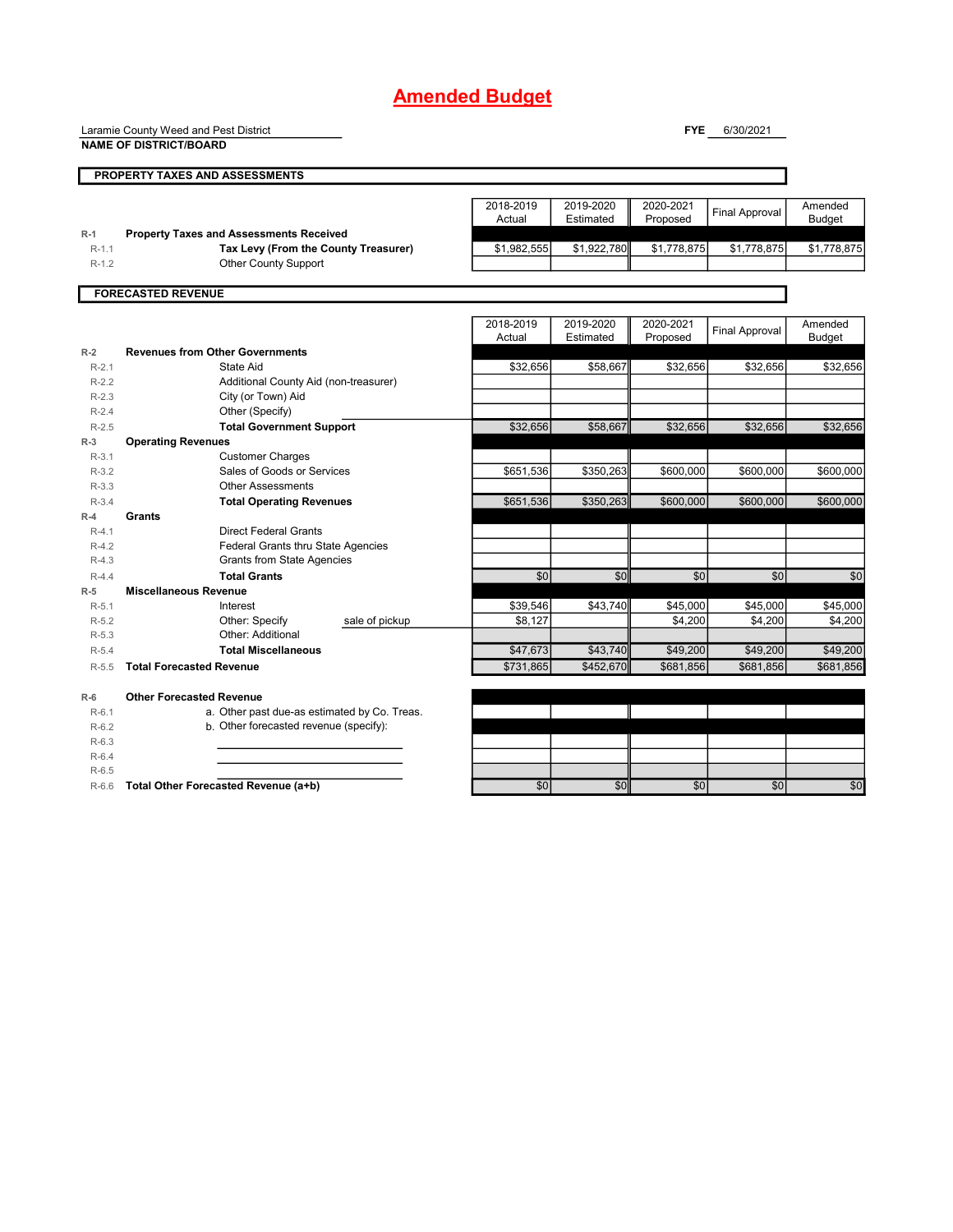Laramie County Weed and Pest District

**NAME OF DISTRICT/BOARD**

**FYE** 6/30/2021

|           | PROPERTY TAXES AND ASSESSMENTS                 |                     |                        |                       |                       |                          |
|-----------|------------------------------------------------|---------------------|------------------------|-----------------------|-----------------------|--------------------------|
|           |                                                |                     |                        |                       |                       |                          |
|           |                                                | 2018-2019           | 2019-2020              | 2020-2021             | <b>Final Approval</b> | Amended                  |
|           |                                                | Actual              | Estimated              | Proposed              |                       | <b>Budget</b>            |
| $R-1$     | <b>Property Taxes and Assessments Received</b> |                     |                        |                       |                       |                          |
| $R-1.1$   | Tax Levy (From the County Treasurer)           | \$1,982,555         | \$1,922,780            | \$1,778,875           | \$1,778,875           | \$1,778,875              |
| $R-1.2$   | Other County Support                           |                     |                        |                       |                       |                          |
|           |                                                |                     |                        |                       |                       |                          |
|           | <b>FORECASTED REVENUE</b>                      |                     |                        |                       |                       |                          |
|           |                                                |                     |                        |                       |                       |                          |
|           |                                                | 2018-2019<br>Actual | 2019-2020<br>Estimated | 2020-2021<br>Proposed | <b>Final Approval</b> | Amended<br><b>Budget</b> |
|           | <b>Revenues from Other Governments</b>         |                     |                        |                       |                       |                          |
| $R-2$     |                                                |                     |                        |                       |                       |                          |
| $R-2.1$   | <b>State Aid</b>                               | \$32,656            | \$58,667               | \$32,656              | \$32,656              | \$32,656                 |
| $R-2.2$   | Additional County Aid (non-treasurer)          |                     |                        |                       |                       |                          |
| $R-2.3$   | City (or Town) Aid                             |                     |                        |                       |                       |                          |
| $R - 2.4$ | Other (Specify)                                |                     |                        |                       |                       |                          |
| $R-2.5$   | <b>Total Government Support</b>                | \$32,656            | \$58,667               | \$32,656              | \$32,656              | \$32,656                 |
| $R-3$     | <b>Operating Revenues</b>                      |                     |                        |                       |                       |                          |
| $R-3.1$   | <b>Customer Charges</b>                        |                     |                        |                       |                       |                          |
| $R-3.2$   | Sales of Goods or Services                     | \$651,536           | \$350,263              | \$600,000             | \$600,000             | \$600,000                |
| $R-3.3$   | <b>Other Assessments</b>                       |                     |                        |                       |                       |                          |
| $R - 3.4$ | <b>Total Operating Revenues</b>                | \$651,536           | \$350,263              | \$600,000             | \$600,000             | \$600,000                |
| $R-4$     | Grants                                         |                     |                        |                       |                       |                          |
| $R-4.1$   | <b>Direct Federal Grants</b>                   |                     |                        |                       |                       |                          |
| $R-4.2$   | Federal Grants thru State Agencies             |                     |                        |                       |                       |                          |
| $R-4.3$   | <b>Grants from State Agencies</b>              |                     |                        |                       |                       |                          |
| $R-4.4$   | <b>Total Grants</b>                            | \$0                 | \$0                    | \$0                   | \$0                   | \$0                      |
| $R-5$     | <b>Miscellaneous Revenue</b>                   |                     |                        |                       |                       |                          |
| $R-5.1$   | Interest                                       | \$39,546            | \$43,740               | \$45,000              | \$45,000              | \$45,000                 |
| $R-5.2$   | Other: Specify<br>sale of pickup               | \$8,127             |                        | \$4,200               | \$4,200               | \$4,200                  |
| $R-5.3$   | Other: Additional                              |                     |                        |                       |                       |                          |
| $R - 5.4$ | <b>Total Miscellaneous</b>                     | \$47.673            | \$43,740               | \$49,200              | \$49.200              | \$49.200                 |
| $R - 5.5$ | <b>Total Forecasted Revenue</b>                | \$731.865           | \$452.670              | \$681.856             | \$681,856             | \$681,856                |
|           |                                                |                     |                        |                       |                       |                          |
| $R-6$     | <b>Other Forecasted Revenue</b>                |                     |                        |                       |                       |                          |
| $R-6.1$   | a. Other past due-as estimated by Co. Treas.   |                     |                        |                       |                       |                          |
| $R-6.2$   | b. Other forecasted revenue (specify):         |                     |                        |                       |                       |                          |
| $R-6.3$   |                                                |                     |                        |                       |                       |                          |
| $R-6.4$   |                                                |                     |                        |                       |                       |                          |
| $R-6.5$   |                                                |                     |                        |                       |                       |                          |

R-6.6 **Total Other Forecasted Revenue (a+b)** \$0 \$0 \$0 \$0 \$0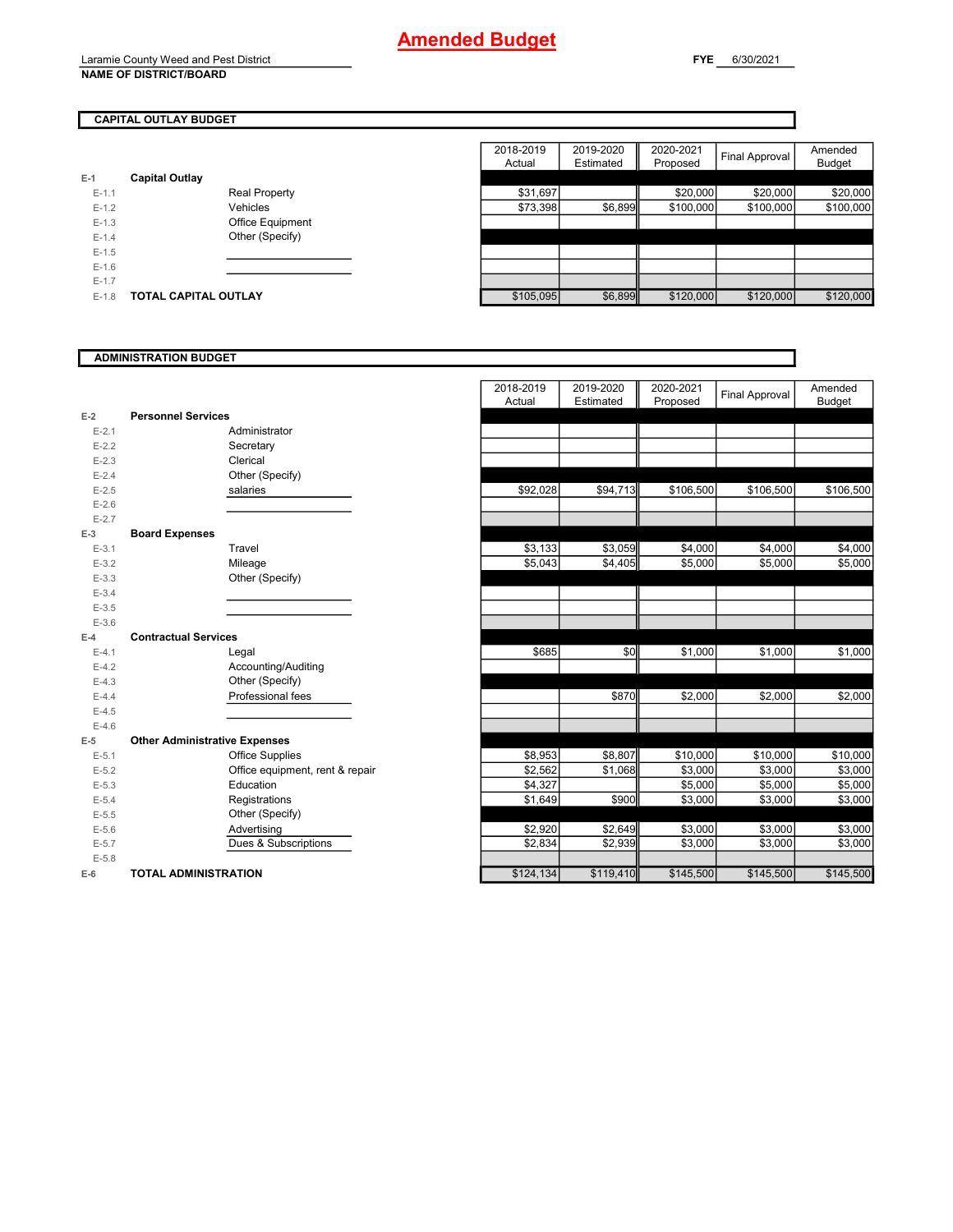### **CAPITAL OUTLAY BUDGET**

| $E-1$     | <b>Capital Outlay</b> |                         |  |
|-----------|-----------------------|-------------------------|--|
|           |                       |                         |  |
| $E-1.1$   |                       | <b>Real Property</b>    |  |
| $E-1.2$   |                       | Vehicles                |  |
| $E - 1.3$ |                       | <b>Office Equipment</b> |  |
| $E - 1.4$ |                       | Other (Specify)         |  |
| $E-1.5$   |                       |                         |  |
| $E - 1.6$ |                       |                         |  |
| $E - 1.7$ |                       |                         |  |
| $E-1.8$   | TOTAL CAPITAL OUTLAY  |                         |  |

|         |                             |                      | 2018-2019<br>Actual | 2019-2020<br>Estimated | 2020-2021<br>Proposed | Final Approval | Amended<br><b>Budget</b> |
|---------|-----------------------------|----------------------|---------------------|------------------------|-----------------------|----------------|--------------------------|
|         | <b>Capital Outlay</b>       |                      |                     |                        |                       |                |                          |
| $E-1.1$ |                             | <b>Real Property</b> | \$31,697            |                        | \$20,000              | \$20,000       | \$20,000                 |
| $E-1.2$ |                             | Vehicles             | \$73,398            | \$6,899                | \$100,000             | \$100,000      | \$100,000                |
| $E-1.3$ |                             | Office Equipment     |                     |                        |                       |                |                          |
| $E-1.4$ |                             | Other (Specify)      |                     |                        |                       |                |                          |
| $E-1.5$ |                             |                      |                     |                        |                       |                |                          |
| $E-1.6$ |                             |                      |                     |                        |                       |                |                          |
| $E-1.7$ |                             |                      |                     |                        |                       |                |                          |
| $E-1.8$ | <b>TOTAL CAPITAL OUTLAY</b> |                      | \$105,095           | \$6,899                | \$120,000             | \$120,000      | \$120,000                |

### **ADMINISTRATION BUDGET**

|                    |                                      |                                 | 2018-2019<br>Actual | 2019-2020<br>Estimated | 2020-2021<br>Proposed | Final Approval | Amended<br><b>Budget</b> |
|--------------------|--------------------------------------|---------------------------------|---------------------|------------------------|-----------------------|----------------|--------------------------|
| $E-2$              | <b>Personnel Services</b>            |                                 |                     |                        |                       |                |                          |
| $E - 2.1$          |                                      | Administrator                   |                     |                        |                       |                |                          |
| $E - 2.2$          |                                      | Secretary                       |                     |                        |                       |                |                          |
| $E-2.3$            |                                      | Clerical                        |                     |                        |                       |                |                          |
| $E - 2.4$          |                                      | Other (Specify)                 |                     |                        |                       |                |                          |
| $E-2.5$            |                                      | salaries                        | \$92,028            | \$94,713               | \$106,500             | \$106,500      | \$106,500                |
| $E - 2.6$          |                                      |                                 |                     |                        |                       |                |                          |
| $E - 2.7$          |                                      |                                 |                     |                        |                       |                |                          |
| $E-3$              | <b>Board Expenses</b>                |                                 |                     |                        |                       |                |                          |
| $E-3.1$            |                                      | Travel                          | \$3,133             | \$3,059                | \$4,000               | \$4,000        | \$4,000                  |
| $E-3.2$            |                                      | Mileage                         | \$5,043             | \$4,405                | \$5,000               | \$5,000        | \$5,000                  |
| $E - 3.3$          |                                      | Other (Specify)                 |                     |                        |                       |                |                          |
| $E-3.4$            |                                      |                                 |                     |                        |                       |                |                          |
| $E-3.5$            |                                      |                                 |                     |                        |                       |                |                          |
| $E - 3.6$          |                                      |                                 |                     |                        |                       |                |                          |
| $E-4$              | <b>Contractual Services</b>          |                                 |                     |                        |                       |                |                          |
| $E-4.1$            |                                      | Legal                           | \$685               | \$0                    | \$1,000               | \$1,000        | \$1,000                  |
| $E-4.2$            |                                      | Accounting/Auditing             |                     |                        |                       |                |                          |
| $E-4.3$            |                                      | Other (Specify)                 |                     |                        |                       |                |                          |
| $E-4.4$            |                                      | Professional fees               |                     | \$870                  | \$2,000               | \$2,000        | \$2,000                  |
| $E-4.5$            |                                      |                                 |                     |                        |                       |                |                          |
| $E-4.6$            |                                      |                                 |                     |                        |                       |                |                          |
| $E-5$              | <b>Other Administrative Expenses</b> |                                 |                     |                        |                       |                |                          |
| $E-5.1$            |                                      | <b>Office Supplies</b>          | \$8,953             | \$8,807                | \$10,000              | \$10,000       | \$10,000                 |
| $E-5.2$            |                                      | Office equipment, rent & repair | \$2,562             | \$1,068                | \$3,000               | \$3,000        | \$3,000                  |
| $E-5.3$            |                                      | Education                       | \$4,327             |                        | \$5,000               | \$5,000        | \$5,000                  |
| $E - 5.4$          |                                      | Registrations                   | \$1,649             | \$900                  | \$3,000               | \$3,000        | \$3,000                  |
| $E-5.5$            |                                      | Other (Specify)                 |                     |                        |                       |                |                          |
| $E - 5.6$          |                                      | Advertising                     | \$2,920             | \$2,649                | \$3,000               | \$3,000        | \$3,000                  |
| $E - 5.7$          |                                      | Dues & Subscriptions            | \$2,834             | \$2,939                | \$3,000               | \$3,000        | \$3,000                  |
|                    |                                      |                                 |                     |                        |                       |                |                          |
| $E - 5.8$<br>$E-6$ | <b>TOTAL ADMINISTRATION</b>          |                                 | \$124,134           | \$119,410              | \$145,500             | \$145,500      | \$145,500                |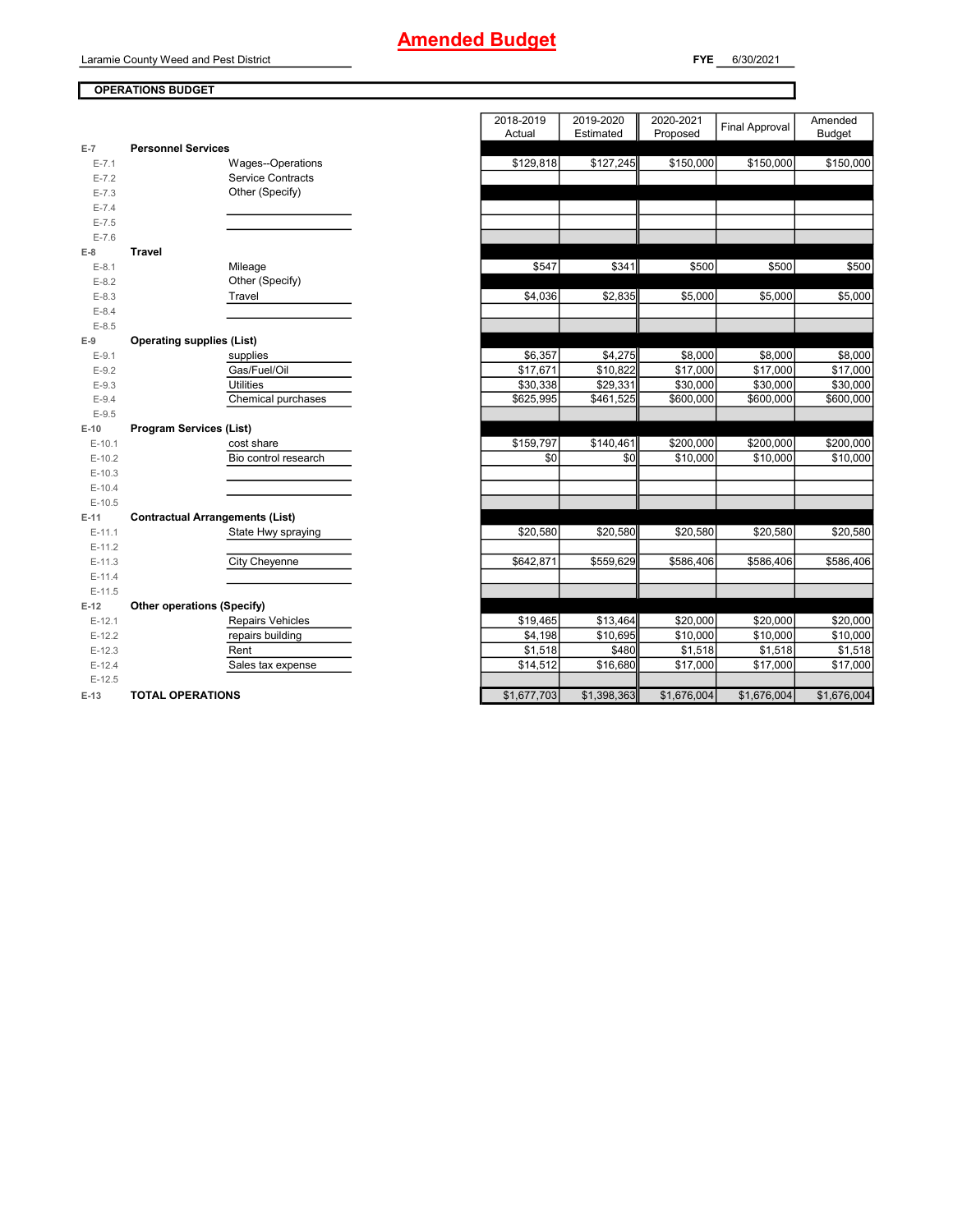Laramie County Weed and Pest District

**FYE** 6/30/2021

### **OPERATIONS BUDGET**

| E-7       | <b>Personnel Services</b>              |
|-----------|----------------------------------------|
| $E - 7.1$ | Wages--Operations                      |
| $E - 7.2$ | <b>Service Contracts</b>               |
| $E - 7.3$ | Other (Specify)                        |
| $E - 7.4$ |                                        |
| $E - 7.5$ |                                        |
| $E - 7.6$ |                                        |
| $E-8$     | <b>Travel</b>                          |
| $E-8.1$   | Mileage                                |
| $E-8.2$   | Other (Specify)                        |
| $E-8.3$   | Travel                                 |
| $E - 8.4$ |                                        |
| $E-8.5$   |                                        |
| $E-9$     | <b>Operating supplies (List)</b>       |
| $E-9.1$   | supplies                               |
| $E-9.2$   | Gas/Fuel/Oil                           |
| $E-9.3$   | <b>Utilities</b>                       |
| $E-9.4$   | Chemical purchases                     |
| $E-9.5$   |                                        |
| $E-10$    | <b>Program Services (List)</b>         |
| $E-10.1$  | cost share                             |
| $E-10.2$  | Bio control research                   |
| $E-10.3$  |                                        |
| $E-10.4$  |                                        |
| $E-10.5$  |                                        |
| $E-11$    | <b>Contractual Arrangements (List)</b> |
| $E-11.1$  | State Hwy spraying                     |
| $E-11.2$  |                                        |
| $E-11.3$  | <b>City Cheyenne</b>                   |
| $E-11.4$  |                                        |
| $E-11.5$  |                                        |
| $E-12$    | <b>Other operations (Specify)</b>      |
| $E-12.1$  | <b>Repairs Vehicles</b>                |
| $E-12.2$  | repairs building                       |
| $E-12.3$  | Rent                                   |
| $E-12.4$  | Sales tax expense                      |
| $E-12.5$  |                                        |
| $E-13$    | <b>TOTAL OPERATIONS</b>                |

|                |                                        | 2018-2019<br>Actual | 2019-2020<br>Estimated | 2020-2021<br>Proposed | <b>Final Approval</b> | Amended<br><b>Budget</b> |
|----------------|----------------------------------------|---------------------|------------------------|-----------------------|-----------------------|--------------------------|
| $\overline{7}$ | <b>Personnel Services</b>              |                     |                        |                       |                       |                          |
| $E - 7.1$      | Wages--Operations                      | \$129,818           | \$127,245              | \$150,000             | \$150,000             | \$150,000                |
| $E - 7.2$      | Service Contracts                      |                     |                        |                       |                       |                          |
| $E - 7.3$      | Other (Specify)                        |                     |                        |                       |                       |                          |
| $E - 7.4$      |                                        |                     |                        |                       |                       |                          |
| $E - 7.5$      |                                        |                     |                        |                       |                       |                          |
| $E - 7.6$      |                                        |                     |                        |                       |                       |                          |
| 8              | <b>Travel</b>                          |                     |                        |                       |                       |                          |
| $E-8.1$        | Mileage                                | \$547               | \$341                  | \$500                 | \$500                 | \$500                    |
| $E-8.2$        | Other (Specify)                        |                     |                        |                       |                       |                          |
| $E-8.3$        | Travel                                 | \$4,036             | \$2,835                | \$5,000               | \$5,000               | \$5,000                  |
| $E - 8.4$      |                                        |                     |                        |                       |                       |                          |
| $E-8.5$        |                                        |                     |                        |                       |                       |                          |
| 9              | <b>Operating supplies (List)</b>       |                     |                        |                       |                       |                          |
| $E-9.1$        | supplies                               | \$6,357             | \$4,275                | \$8,000               | \$8,000               | \$8,000                  |
| $E-9.2$        | Gas/Fuel/Oil                           | \$17,671            | \$10,822               | \$17,000              | \$17,000              | \$17,000                 |
| $E-9.3$        | <b>Utilities</b>                       | \$30,338            | \$29,331               | \$30,000              | \$30,000              | \$30,000                 |
| $E-9.4$        | Chemical purchases                     | \$625,995           | \$461,525              | \$600,000             | \$600,000             | \$600,000                |
| $E-9.5$        |                                        |                     |                        |                       |                       |                          |
| 10             | <b>Program Services (List)</b>         |                     |                        |                       |                       |                          |
| $E-10.1$       | cost share                             | \$159,797           | \$140,461              | \$200,000             | \$200,000             | \$200,000                |
| $E-10.2$       | Bio control research                   | \$0                 | \$0                    | \$10,000              | \$10,000              | \$10,000                 |
| $E-10.3$       |                                        |                     |                        |                       |                       |                          |
| $E-10.4$       |                                        |                     |                        |                       |                       |                          |
| $E-10.5$       |                                        |                     |                        |                       |                       |                          |
| 11             | <b>Contractual Arrangements (List)</b> |                     |                        |                       |                       |                          |
| $E-11.1$       | State Hwy spraying                     | \$20,580            | \$20,580               | \$20,580              | \$20,580              | \$20,580                 |
| $E-11.2$       |                                        |                     |                        |                       |                       |                          |
| E-11.3         | City Cheyenne                          | \$642,871           | \$559,629              | \$586,406             | \$586,406             | \$586,406                |
| $E-11.4$       |                                        |                     |                        |                       |                       |                          |
| $E-11.5$       |                                        |                     |                        |                       |                       |                          |
| 12             | Other operations (Specify)             |                     |                        |                       |                       |                          |
| $E-12.1$       | <b>Repairs Vehicles</b>                | \$19,465            | \$13,464               | \$20,000              | \$20,000              | \$20,000                 |
| $E-12.2$       | repairs building                       | \$4,198             | \$10,695               | \$10,000              | \$10,000              | \$10,000                 |
| $E-12.3$       | Rent                                   | \$1,518             | \$480                  | \$1,518               | \$1,518               | \$1,518                  |
| $E-12.4$       | Sales tax expense                      | \$14,512            | \$16,680               | \$17,000              | \$17,000              | \$17,000                 |
| $E-12.5$       |                                        |                     |                        |                       |                       |                          |
| 13             | <b>TOTAL OPERATIONS</b>                | \$1,677,703         | \$1,398,363            | \$1,676,004           | \$1,676,004           | \$1,676,004              |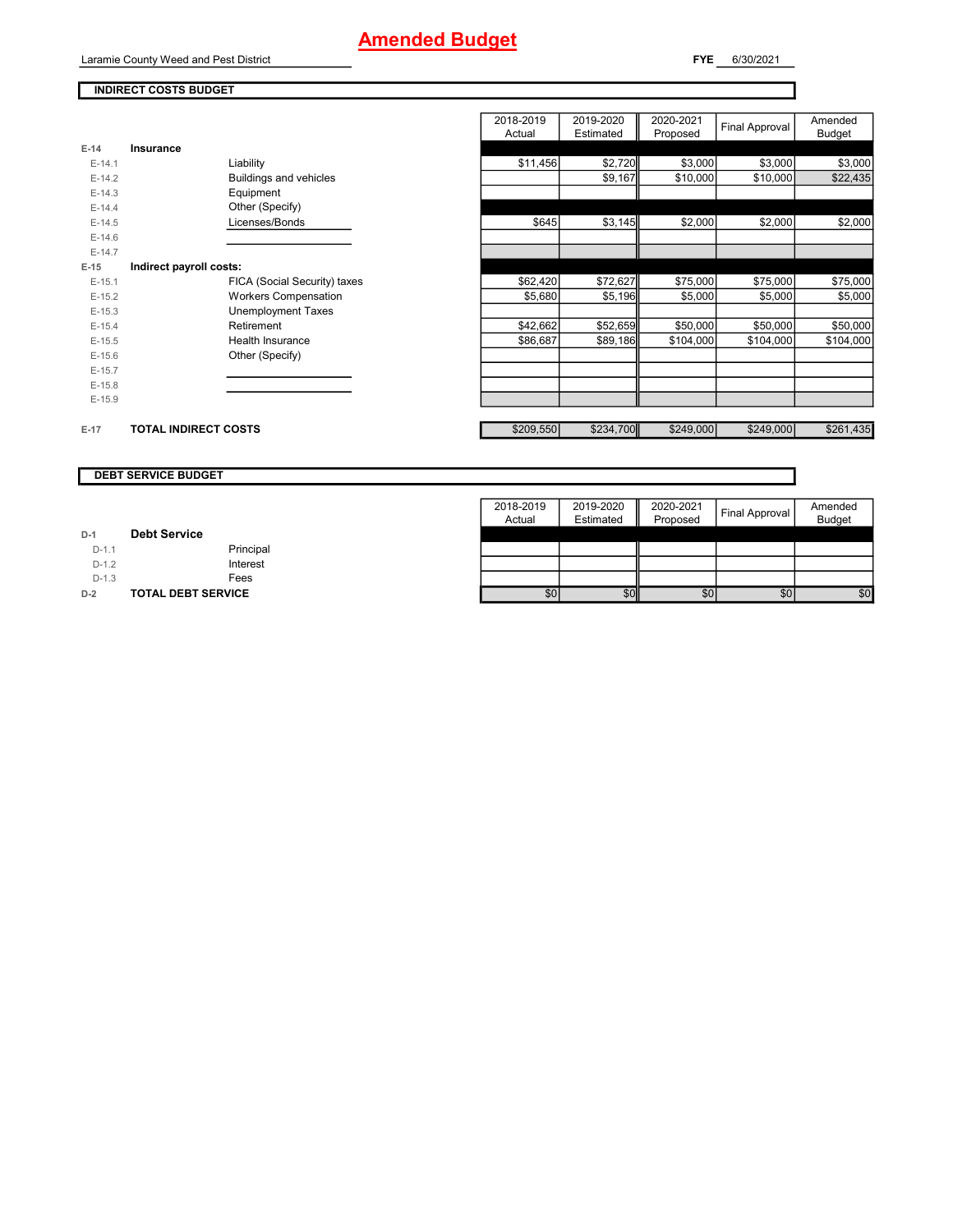2018-2019 Actual

2019-2020 Estimated

Laramie County Weed and Pest District

**INDIRECT COSTS BUDGET**

**E-15 Indirect payroll costs:**

Final Approval

Amended Budget

2020-2021 Proposed

| $E-14$ | Insurance |  |  |
|--------|-----------|--|--|

| $E-14.1$ | Liability                    | \$11,456 | \$2,720  | \$3,000   | \$3,000   | \$3,000   |
|----------|------------------------------|----------|----------|-----------|-----------|-----------|
| $E-14.2$ | Buildings and vehicles       |          | \$9,167  | \$10,000  | \$10,000  | \$22,435  |
| $E-14.3$ | Equipment                    |          |          |           |           |           |
| $E-14.4$ | Other (Specify)              |          |          |           |           |           |
| $E-14.5$ | Licenses/Bonds               | \$645    | \$3,145  | \$2,000   | \$2,000   | \$2,000   |
| $E-14.6$ |                              |          |          |           |           |           |
| $E-14.7$ |                              |          |          |           |           |           |
| $-15$    | Indirect payroll costs:      |          |          |           |           |           |
| $E-15.1$ | FICA (Social Security) taxes | \$62,420 | \$72,627 | \$75,000  | \$75,000  | \$75,000  |
| $E-15.2$ | <b>Workers Compensation</b>  | \$5,680  | \$5,196  | \$5,000   | \$5,000   | \$5,000   |
| $E-15.3$ | <b>Unemployment Taxes</b>    |          |          |           |           |           |
| $E-15.4$ | Retirement                   | \$42,662 | \$52,659 | \$50,000  | \$50,000  | \$50,000  |
| $E-15.5$ | Health Insurance             | \$86,687 | \$89,186 | \$104,000 | \$104,000 | \$104,000 |
| $E-15.6$ | Other (Specify)              |          |          |           |           |           |
| $E-15.7$ |                              |          |          |           |           |           |
| $E-15.8$ |                              |          |          |           |           |           |
| $E-15.9$ |                              |          |          |           |           |           |
|          |                              |          |          |           |           |           |

### E-17 **TOTAL INDIRECT COSTS EXECUTE:** TOTAL INDIRECT COSTS

### **DEBT SERVICE BUDGET**

|         |                           | 2018-2019<br>Actual | 2019-2020<br>Estimated | 2020-2021<br>Proposed | Final Approval | Amended<br><b>Budget</b> |
|---------|---------------------------|---------------------|------------------------|-----------------------|----------------|--------------------------|
| $D-1$   | <b>Debt Service</b>       |                     |                        |                       |                |                          |
| $D-1.1$ | Principal                 |                     |                        |                       |                |                          |
| $D-1.2$ | Interest                  |                     |                        |                       |                |                          |
| $D-1.3$ | Fees                      |                     |                        |                       |                |                          |
| $D-2$   | <b>TOTAL DEBT SERVICE</b> | \$0                 | \$0                    | \$0                   | \$0            | \$0                      |